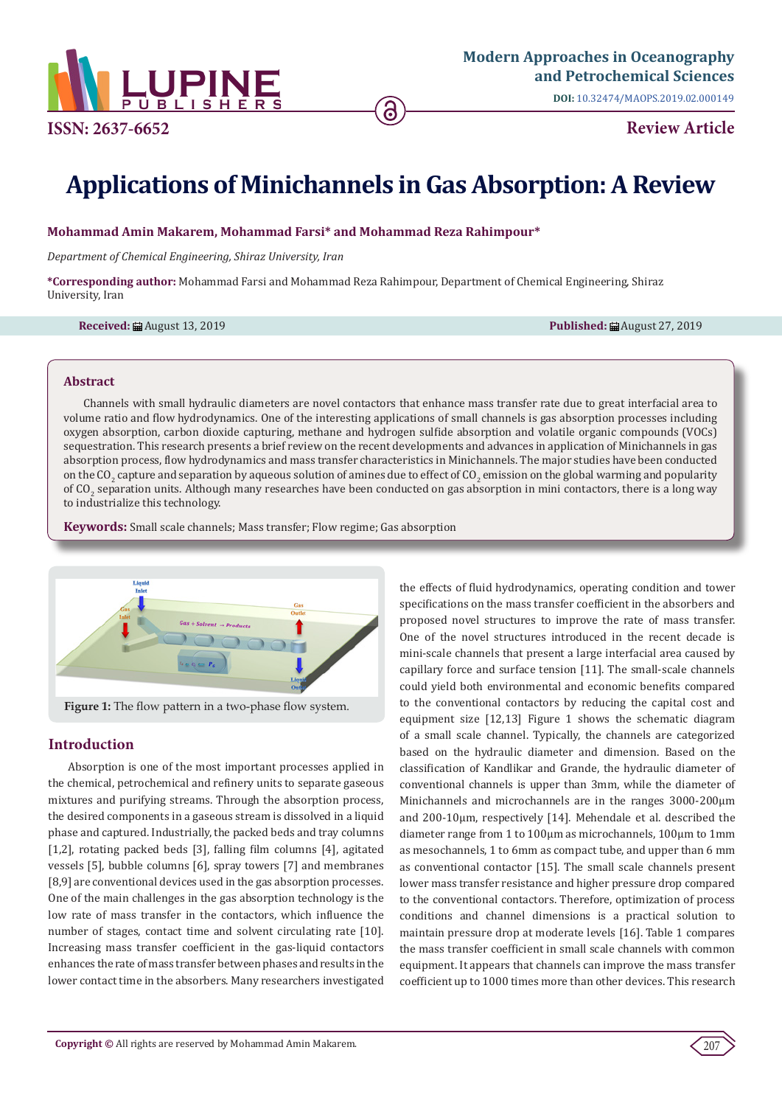

**DOI:** [10.32474/MAOPS.2019.02.00014](http://dx.doi.org/10.32474/MAOPS.2019.02.000149)9

# **Applications of Minichannels in Gas Absorption: A Review**

## **Mohammad Amin Makarem, Mohammad Farsi\* and Mohammad Reza Rahimpour\***

*Department of Chemical Engineering, Shiraz University, Iran*

**\*Corresponding author:** Mohammad Farsi and Mohammad Reza Rahimpour, Department of Chemical Engineering, Shiraz University, Iran

**Received:** August 13, 2019 **Published:** August 27, 2019

#### **Abstract**

Channels with small hydraulic diameters are novel contactors that enhance mass transfer rate due to great interfacial area to volume ratio and flow hydrodynamics. One of the interesting applications of small channels is gas absorption processes including oxygen absorption, carbon dioxide capturing, methane and hydrogen sulfide absorption and volatile organic compounds (VOCs) sequestration. This research presents a brief review on the recent developments and advances in application of Minichannels in gas absorption process, flow hydrodynamics and mass transfer characteristics in Minichannels. The major studies have been conducted on the CO<sub>2</sub> capture and separation by aqueous solution of amines due to effect of CO<sub>2</sub> emission on the global warming and popularity of CO<sub>2</sub> separation units. Although many researches have been conducted on gas absorption in mini contactors, there is a long way to industrialize this technology.

**Keywords:** Small scale channels; Mass transfer; Flow regime; Gas absorption



**Figure 1:** The flow pattern in a two-phase flow system.

# **Introduction**

Absorption is one of the most important processes applied in the chemical, petrochemical and refinery units to separate gaseous mixtures and purifying streams. Through the absorption process, the desired components in a gaseous stream is dissolved in a liquid phase and captured. Industrially, the packed beds and tray columns [1,2], rotating packed beds [3], falling film columns [4], agitated vessels [5], bubble columns [6], spray towers [7] and membranes [8,9] are conventional devices used in the gas absorption processes. One of the main challenges in the gas absorption technology is the low rate of mass transfer in the contactors, which influence the number of stages, contact time and solvent circulating rate [10]. Increasing mass transfer coefficient in the gas-liquid contactors enhances the rate of mass transfer between phases and results in the lower contact time in the absorbers. Many researchers investigated the effects of fluid hydrodynamics, operating condition and tower specifications on the mass transfer coefficient in the absorbers and proposed novel structures to improve the rate of mass transfer. One of the novel structures introduced in the recent decade is mini-scale channels that present a large interfacial area caused by capillary force and surface tension [11]. The small-scale channels could yield both environmental and economic benefits compared to the conventional contactors by reducing the capital cost and equipment size [12,13] Figure 1 shows the schematic diagram of a small scale channel. Typically, the channels are categorized based on the hydraulic diameter and dimension. Based on the classification of Kandlikar and Grande, the hydraulic diameter of conventional channels is upper than 3mm, while the diameter of Minichannels and microchannels are in the ranges 3000-200μm and 200-10μm, respectively [14]. Mehendale et al. described the diameter range from 1 to 100μm as microchannels, 100μm to 1mm as mesochannels, 1 to 6mm as compact tube, and upper than 6 mm as conventional contactor [15]. The small scale channels present lower mass transfer resistance and higher pressure drop compared to the conventional contactors. Therefore, optimization of process conditions and channel dimensions is a practical solution to maintain pressure drop at moderate levels [16]. Table 1 compares the mass transfer coefficient in small scale channels with common equipment. It appears that channels can improve the mass transfer coefficient up to 1000 times more than other devices. This research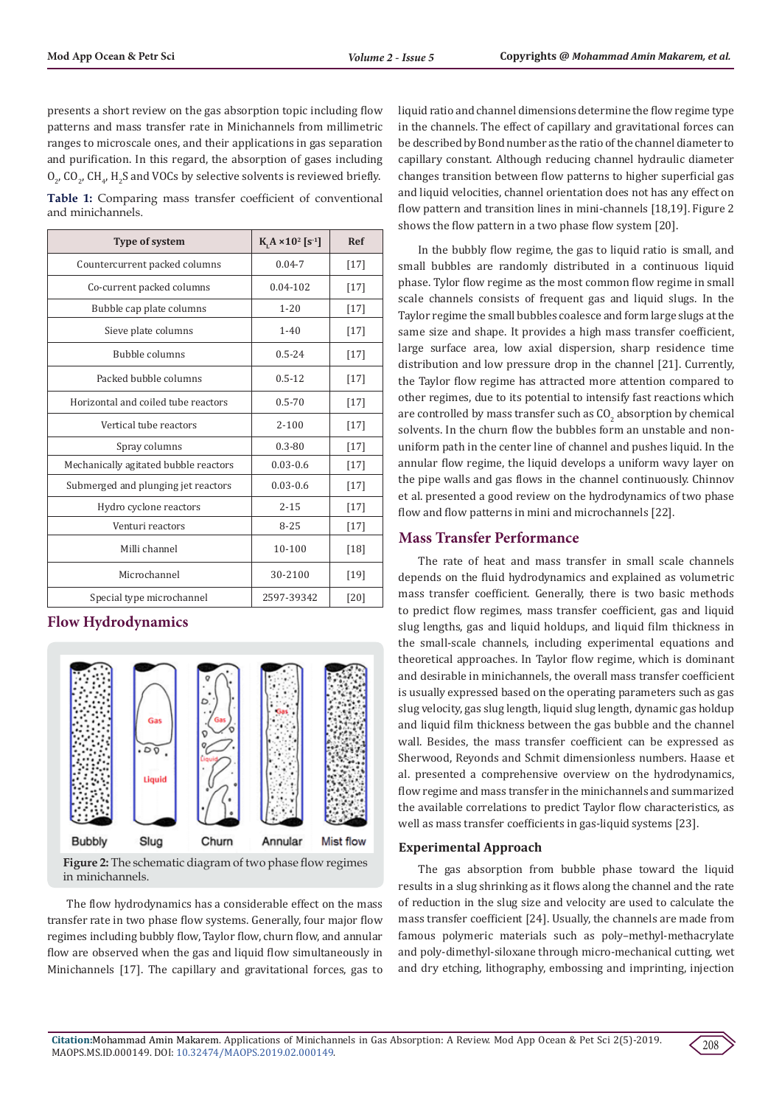presents a short review on the gas absorption topic including flow patterns and mass transfer rate in Minichannels from millimetric ranges to microscale ones, and their applications in gas separation and purification. In this regard, the absorption of gases including  $O_{2'}$  CO<sub>2</sub>, CH<sub>4</sub>, H<sub>2</sub>S and VOCs by selective solvents is reviewed briefly.

**Table 1:** Comparing mass transfer coefficient of conventional and minichannels.

| Type of system                        | $K A \times 10^2 [s^{-1}]$ | <b>Ref</b> |
|---------------------------------------|----------------------------|------------|
| Countercurrent packed columns         | $0.04 - 7$                 | $[17]$     |
| Co-current packed columns             | $0.04 - 102$               | $[17]$     |
| Bubble cap plate columns              | $1 - 20$                   | $[17]$     |
| Sieve plate columns                   | $1 - 40$                   | $[17]$     |
| <b>Bubble columns</b>                 | $0.5 - 24$                 | $[17]$     |
| Packed bubble columns                 | $0.5 - 12$                 | $[17]$     |
| Horizontal and coiled tube reactors   | $0.5 - 70$                 | $[17]$     |
| Vertical tube reactors                | $2 - 100$                  | $[17]$     |
| Spray columns                         | $0.3 - 80$                 | $[17]$     |
| Mechanically agitated bubble reactors | $0.03 - 0.6$               | $[17]$     |
| Submerged and plunging jet reactors   | $0.03 - 0.6$               | $[17]$     |
| Hydro cyclone reactors                | $2 - 15$                   | $[17]$     |
| Venturi reactors                      | $8 - 25$                   | $[17]$     |
| Milli channel                         | 10-100                     | [18]       |
| Microchannel                          | 30-2100                    | $[19]$     |
| Special type microchannel             | 2597-39342                 | [20]       |

# **Flow Hydrodynamics**



**Figure 2:** The schematic diagram of two phase flow regimes in minichannels.

The flow hydrodynamics has a considerable effect on the mass transfer rate in two phase flow systems. Generally, four major flow regimes including bubbly flow, Taylor flow, churn flow, and annular flow are observed when the gas and liquid flow simultaneously in Minichannels [17]. The capillary and gravitational forces, gas to liquid ratio and channel dimensions determine the flow regime type in the channels. The effect of capillary and gravitational forces can be described by Bond number as the ratio of the channel diameter to capillary constant. Although reducing channel hydraulic diameter changes transition between flow patterns to higher superficial gas and liquid velocities, channel orientation does not has any effect on flow pattern and transition lines in mini-channels [18,19]. Figure 2 shows the flow pattern in a two phase flow system [20].

In the bubbly flow regime, the gas to liquid ratio is small, and small bubbles are randomly distributed in a continuous liquid phase. Tylor flow regime as the most common flow regime in small scale channels consists of frequent gas and liquid slugs. In the Taylor regime the small bubbles coalesce and form large slugs at the same size and shape. It provides a high mass transfer coefficient, large surface area, low axial dispersion, sharp residence time distribution and low pressure drop in the channel [21]. Currently, the Taylor flow regime has attracted more attention compared to other regimes, due to its potential to intensify fast reactions which are controlled by mass transfer such as  $\mathrm{CO}_2$  absorption by chemical solvents. In the churn flow the bubbles form an unstable and nonuniform path in the center line of channel and pushes liquid. In the annular flow regime, the liquid develops a uniform wavy layer on the pipe walls and gas flows in the channel continuously. Chinnov et al. presented a good review on the hydrodynamics of two phase flow and flow patterns in mini and microchannels [22].

# **Mass Transfer Performance**

The rate of heat and mass transfer in small scale channels depends on the fluid hydrodynamics and explained as volumetric mass transfer coefficient. Generally, there is two basic methods to predict flow regimes, mass transfer coefficient, gas and liquid slug lengths, gas and liquid holdups, and liquid film thickness in the small-scale channels, including experimental equations and theoretical approaches. In Taylor flow regime, which is dominant and desirable in minichannels, the overall mass transfer coefficient is usually expressed based on the operating parameters such as gas slug velocity, gas slug length, liquid slug length, dynamic gas holdup and liquid film thickness between the gas bubble and the channel wall. Besides, the mass transfer coefficient can be expressed as Sherwood, Reyonds and Schmit dimensionless numbers. Haase et al. presented a comprehensive overview on the hydrodynamics, flow regime and mass transfer in the minichannels and summarized the available correlations to predict Taylor flow characteristics, as well as mass transfer coefficients in gas-liquid systems [23].

## **Experimental Approach**

The gas absorption from bubble phase toward the liquid results in a slug shrinking as it flows along the channel and the rate of reduction in the slug size and velocity are used to calculate the mass transfer coefficient [24]. Usually, the channels are made from famous polymeric materials such as poly–methyl-methacrylate and poly-dimethyl-siloxane through micro-mechanical cutting, wet and dry etching, lithography, embossing and imprinting, injection

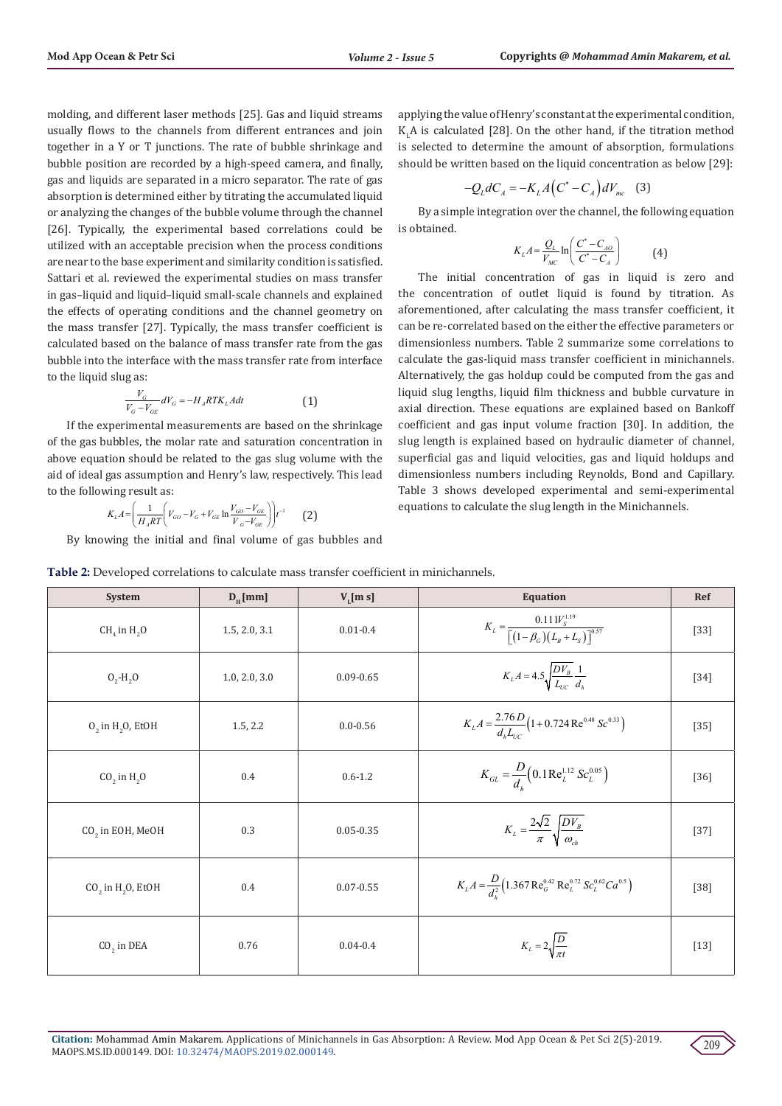molding, and different laser methods [25]. Gas and liquid streams usually flows to the channels from different entrances and join together in a Y or T junctions. The rate of bubble shrinkage and bubble position are recorded by a high-speed camera, and finally, gas and liquids are separated in a micro separator. The rate of gas absorption is determined either by titrating the accumulated liquid or analyzing the changes of the bubble volume through the channel [26]. Typically, the experimental based correlations could be utilized with an acceptable precision when the process conditions are near to the base experiment and similarity condition is satisfied. Sattari et al. reviewed the experimental studies on mass transfer in gas–liquid and liquid–liquid small-scale channels and explained the effects of operating conditions and the channel geometry on the mass transfer [27]. Typically, the mass transfer coefficient is calculated based on the balance of mass transfer rate from the gas bubble into the interface with the mass transfer rate from interface to the liquid slug as:

$$
\frac{V_G}{V_G - V_{GE}} dV_G = -H_A RTK_L A dt \tag{1}
$$

If the experimental measurements are based on the shrinkage of the gas bubbles, the molar rate and saturation concentration in above equation should be related to the gas slug volume with the aid of ideal gas assumption and Henry's law, respectively. This lead to the following result as:

$$
K_{L}A = \left(\frac{1}{H_{A}RT}\left(V_{GO} - V_{G} + V_{GE}\ln\frac{V_{GO} - V_{GE}}{V_{G} - V_{GE}}\right)\right)t^{-1}
$$
 (2)

By knowing the initial and final volume of gas bubbles and

applying the value of Henry's constant at the experimental condition,  $K_{L}A$  is calculated [28]. On the other hand, if the titration method is selected to determine the amount of absorption, formulations should be written based on the liquid concentration as below [29]:

$$
-Q_L dC_A = -K_L A (C^* - C_A) dV_{mc} \quad (3)
$$

By a simple integration over the channel, the following equation is obtained.

$$
K_L A = \frac{Q_L}{V_{MC}} \ln \left( \frac{C^* - C_{AO}}{C^* - C_A} \right) \tag{4}
$$

The initial concentration of gas in liquid is zero and the concentration of outlet liquid is found by titration. As aforementioned, after calculating the mass transfer coefficient, it can be re-correlated based on the either the effective parameters or dimensionless numbers. Table 2 summarize some correlations to calculate the gas-liquid mass transfer coefficient in minichannels. Alternatively, the gas holdup could be computed from the gas and liquid slug lengths, liquid film thickness and bubble curvature in axial direction. These equations are explained based on Bankoff coefficient and gas input volume fraction [30]. In addition, the slug length is explained based on hydraulic diameter of channel, superficial gas and liquid velocities, gas and liquid holdups and dimensionless numbers including Reynolds, Bond and Capillary. Table 3 shows developed experimental and semi-experimental equations to calculate the slug length in the Minichannels.

| System                                                 | $D_{\mu}$ [mm] | $V_L$ [m s]   | <b>Equation</b>                                                                                            | Ref    |
|--------------------------------------------------------|----------------|---------------|------------------------------------------------------------------------------------------------------------|--------|
| $CH4$ in H <sub>2</sub> O                              | 1.5, 2.0, 3.1  | $0.01 - 0.4$  | $K_L = \frac{0.111 V_s^{1.19}}{\left[ \left( 1 - \beta_G \right) \left( L_B + L_S \right) \right]^{0.57}}$ | $[33]$ |
| $0, -H, 0$                                             | 1.0, 2.0, 3.0  | $0.09 - 0.65$ | $K_{L}A = 4.5 \sqrt{\frac{DV_{B}}{L_{VC}}} \frac{1}{d_{h}}$                                                | $[34]$ |
| $0$ <sub>2</sub> in H <sub>2</sub> O <sub>2</sub> EtOH | 1.5, 2.2       | $0.0 - 0.56$  | $K_L A = \frac{2.76 D}{d_L L_{\text{tot}}} \left( 1 + 0.724 \text{ Re}^{0.48} \text{ Sc}^{0.33} \right)$   | $[35]$ |
| $CO2$ in H <sub>2</sub> O                              | 0.4            | $0.6 - 1.2$   | $K_{GL} = \frac{D}{d} \left( 0.1 \text{Re}_{L}^{1.12} Sc_{L}^{0.05} \right)$                               | $[36]$ |
| CO <sub>2</sub> in EOH, MeOH                           | 0.3            | $0.05 - 0.35$ | $K_{L} = \frac{2\sqrt{2}}{\pi} \sqrt{\frac{DV_{B}}{\omega_{A}}}$                                           | $[37]$ |
| $CO2$ in H <sub>2</sub> O, EtOH                        | 0.4            | $0.07 - 0.55$ | $K_L A = \frac{D}{d_1^2} (1.367 \text{ Re}_G^{0.42} \text{ Re}_L^{0.72} Sc_L^{0.62} Ca^{0.5})$             | $[38]$ |
| $CO2$ in DEA                                           | 0.76           | $0.04 - 0.4$  | $K_L = 2\sqrt{\frac{D}{\pi t}}$                                                                            | $[13]$ |

**Table 2:** Developed correlations to calculate mass transfer coefficient in minichannels.

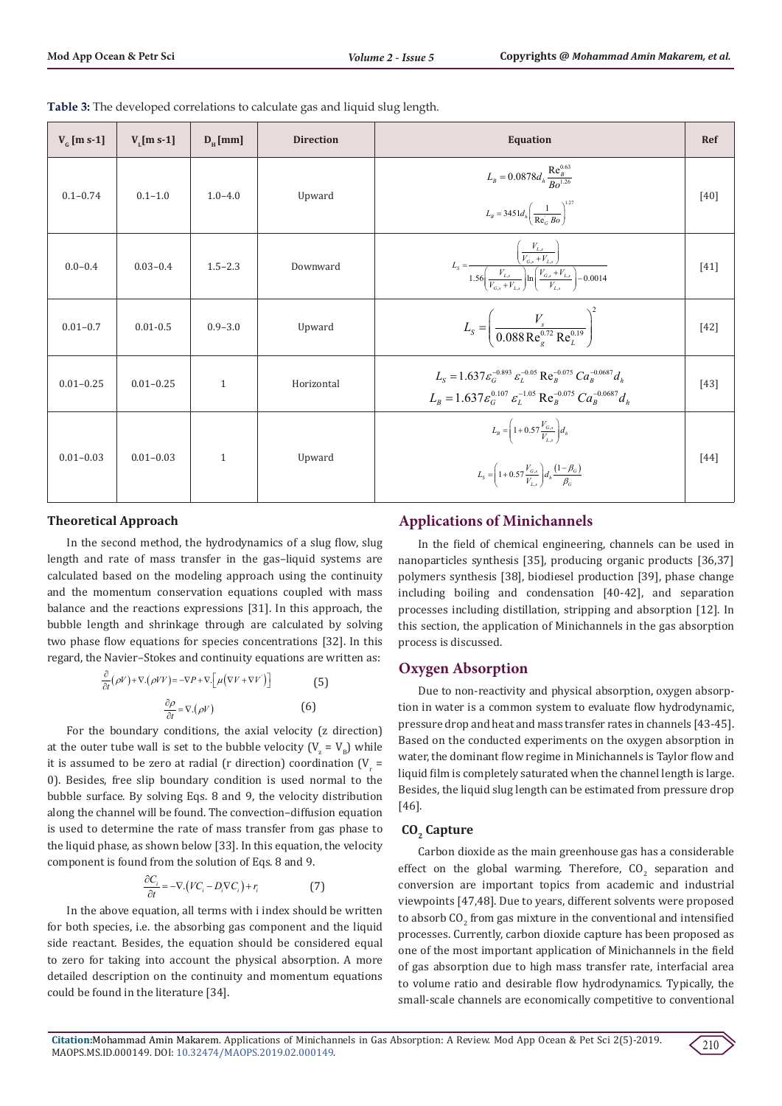| $V_c$ [m s-1] | $V$ , [m s-1] | $D_{\mu}$ [mm] | <b>Direction</b> | <b>Equation</b>                                                                                                                                                                                         | Ref    |
|---------------|---------------|----------------|------------------|---------------------------------------------------------------------------------------------------------------------------------------------------------------------------------------------------------|--------|
| $0.1 - 0.74$  | $0.1 - 1.0$   | $1.0 - 4.0$    | Upward           | $L_B = 0.0878 d_h \frac{\text{Re}_B^{0.63}}{Ro^{1.26}}$<br>$L_B = 3451 d_h \left( \frac{1}{\text{Re}_G Bo} \right)^{1.27}$                                                                              | [40]   |
| $0.0 - 0.4$   | $0.03 - 0.4$  | $1.5 - 2.3$    | Downward         | $L_{s} = \frac{\left(\frac{V_{L,s}}{V_{G,s} + V_{L,s}}\right)}{1.56 \left(\frac{V_{L,s}}{V_{C,s} + V_{L}}\right) \ln \left(\frac{V_{G,s} + V_{L,s}}{V_{L}}\right) - 0.0014}$                            | $[41]$ |
| $0.01 - 0.7$  | $0.01 - 0.5$  | $0.9 - 3.0$    | Upward           | $L_s = \left(\frac{V_s}{0.088 \text{ Re}^{0.72} \text{ Re}^{0.19}}\right)$                                                                                                                              | $[42]$ |
| $0.01 - 0.25$ | $0.01 - 0.25$ | $\mathbf{1}$   | Horizontal       | $L_s = 1.637 \varepsilon_0^{-0.893} \varepsilon_1^{-0.05} \text{Re}_R^{-0.075} Ca_R^{-0.0687} d_h$<br>$L_R = 1.637 \varepsilon_G^{0.107} \varepsilon_L^{-1.05} \text{Re}_R^{-0.075} Ca_R^{-0.0687} d_h$ | [43]   |
| $0.01 - 0.03$ | $0.01 - 0.03$ | $\mathbf{1}$   | Upward           | $L_B = \left(1 + 0.57 \frac{V_{G,s}}{V_{L,c}}\right) d_h$<br>$L_{s} = \left(1 + 0.57 \frac{V_{G,s}}{V_{t}}\right) d_{h} \frac{\left(1 - \beta_{G}\right)}{\beta_{G}}$                                   | [44]   |

**Table 3:** The developed correlations to calculate gas and liquid slug length.

## **Theoretical Approach**

In the second method, the hydrodynamics of a slug flow, slug length and rate of mass transfer in the gas–liquid systems are calculated based on the modeling approach using the continuity and the momentum conservation equations coupled with mass balance and the reactions expressions [31]. In this approach, the bubble length and shrinkage through are calculated by solving two phase flow equations for species concentrations [32]. In this regard, the Navier–Stokes and continuity equations are written as:

$$
\frac{\partial}{\partial t}(\rho V) + \nabla \cdot (\rho V V) = -\nabla P + \nabla \cdot \left[ \mu (\nabla V + \nabla V') \right]
$$
(5)  

$$
\frac{\partial \rho}{\partial t} = \nabla \cdot (\rho V)
$$
(6)

For the boundary conditions, the axial velocity (z direction) at the outer tube wall is set to the bubble velocity ( $V_z = V_B$ ) while it is assumed to be zero at radial (r direction) coordination ( $V_r$  = 0). Besides, free slip boundary condition is used normal to the bubble surface. By solving Eqs. 8 and 9, the velocity distribution along the channel will be found. The convection–diffusion equation is used to determine the rate of mass transfer from gas phase to the liquid phase, as shown below [33]. In this equation, the velocity component is found from the solution of Eqs. 8 and 9.

$$
\frac{\partial C_i}{\partial t} = -\nabla \cdot (VC_i - D_i \nabla C_i) + r_i \tag{7}
$$

In the above equation, all terms with i index should be written for both species, i.e. the absorbing gas component and the liquid side reactant. Besides, the equation should be considered equal to zero for taking into account the physical absorption. A more detailed description on the continuity and momentum equations could be found in the literature [34].

# **Applications of Minichannels**

In the field of chemical engineering, channels can be used in nanoparticles synthesis [35], producing organic products [36,37] polymers synthesis [38], biodiesel production [39], phase change including boiling and condensation [40-42], and separation processes including distillation, stripping and absorption [12]. In this section, the application of Minichannels in the gas absorption process is discussed.

# **Oxygen Absorption**

Due to non-reactivity and physical absorption, oxygen absorption in water is a common system to evaluate flow hydrodynamic, pressure drop and heat and mass transfer rates in channels [43-45]. Based on the conducted experiments on the oxygen absorption in water, the dominant flow regime in Minichannels is Taylor flow and liquid film is completely saturated when the channel length is large. Besides, the liquid slug length can be estimated from pressure drop [46].

## CO<sub>2</sub> Capture

Carbon dioxide as the main greenhouse gas has a considerable effect on the global warming. Therefore,  $CO_2$  separation and conversion are important topics from academic and industrial viewpoints [47,48]. Due to years, different solvents were proposed to absorb  $\mathrm{CO}_2$  from gas mixture in the conventional and intensified processes. Currently, carbon dioxide capture has been proposed as one of the most important application of Minichannels in the field of gas absorption due to high mass transfer rate, interfacial area to volume ratio and desirable flow hydrodynamics. Typically, the small-scale channels are economically competitive to conventional

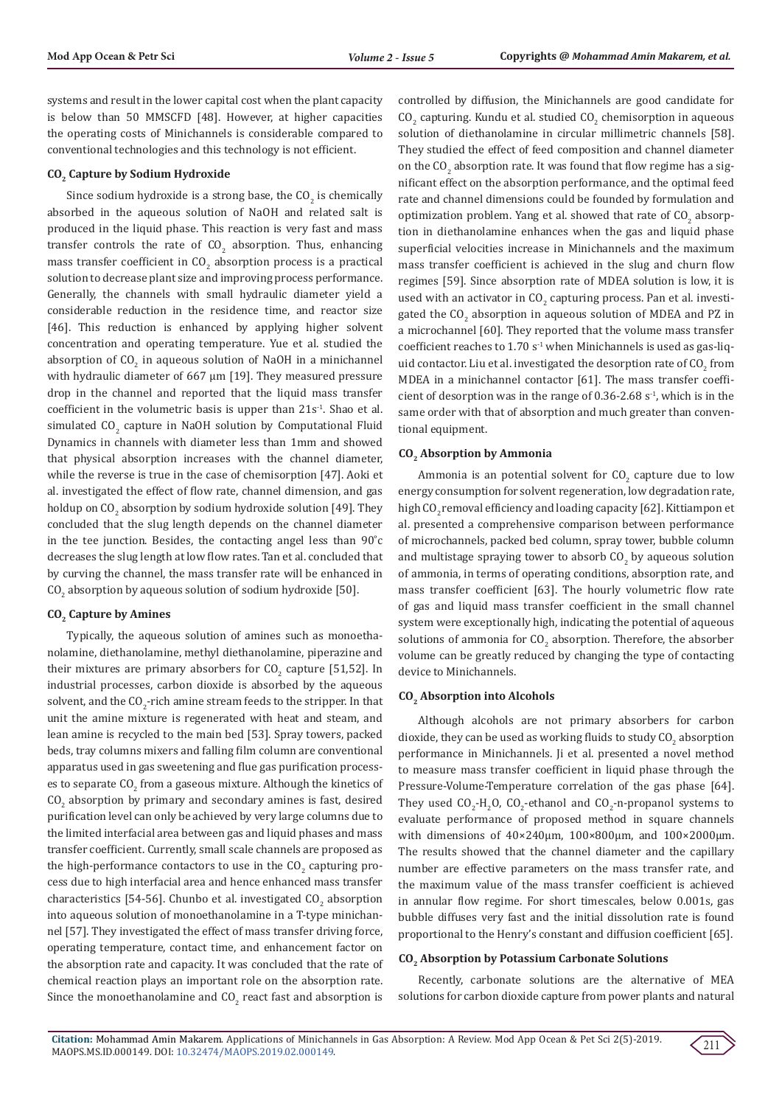systems and result in the lower capital cost when the plant capacity is below than 50 MMSCFD [48]. However, at higher capacities the operating costs of Minichannels is considerable compared to conventional technologies and this technology is not efficient.

#### **CO2 Capture by Sodium Hydroxide**

Since sodium hydroxide is a strong base, the  $\text{CO}_2$  is chemically absorbed in the aqueous solution of NaOH and related salt is produced in the liquid phase. This reaction is very fast and mass transfer controls the rate of  $CO<sub>2</sub>$  absorption. Thus, enhancing mass transfer coefficient in  $CO_2$  absorption process is a practical solution to decrease plant size and improving process performance. Generally, the channels with small hydraulic diameter yield a considerable reduction in the residence time, and reactor size [46]. This reduction is enhanced by applying higher solvent concentration and operating temperature. Yue et al. studied the absorption of  $CO_2$  in aqueous solution of NaOH in a minichannel with hydraulic diameter of 667 µm [19]. They measured pressure drop in the channel and reported that the liquid mass transfer coefficient in the volumetric basis is upper than  $21s<sup>-1</sup>$ . Shao et al. simulated  $CO_2$  capture in NaOH solution by Computational Fluid Dynamics in channels with diameter less than 1mm and showed that physical absorption increases with the channel diameter, while the reverse is true in the case of chemisorption [47]. Aoki et al. investigated the effect of flow rate, channel dimension, and gas holdup on CO<sub>2</sub> absorption by sodium hydroxide solution [49]. They concluded that the slug length depends on the channel diameter in the tee junction. Besides, the contacting angel less than 90˚c decreases the slug length at low flow rates. Tan et al. concluded that by curving the channel, the mass transfer rate will be enhanced in  $\rm CO_2$  absorption by aqueous solution of sodium hydroxide [50].

#### **CO2 Capture by Amines**

Typically, the aqueous solution of amines such as monoethanolamine, diethanolamine, methyl diethanolamine, piperazine and their mixtures are primary absorbers for  $\text{CO}_2$  capture [51,52]. In industrial processes, carbon dioxide is absorbed by the aqueous solvent, and the CO<sub>2</sub>-rich amine stream feeds to the stripper. In that unit the amine mixture is regenerated with heat and steam, and lean amine is recycled to the main bed [53]. Spray towers, packed beds, tray columns mixers and falling film column are conventional apparatus used in gas sweetening and flue gas purification processes to separate  $\mathrm{CO}_2$  from a gaseous mixture. Although the kinetics of  $CO<sub>2</sub>$  absorption by primary and secondary amines is fast, desired purification level can only be achieved by very large columns due to the limited interfacial area between gas and liquid phases and mass transfer coefficient. Currently, small scale channels are proposed as the high-performance contactors to use in the  $\text{CO}_2$  capturing process due to high interfacial area and hence enhanced mass transfer characteristics [54-56]. Chunbo et al. investigated  $CO_2$  absorption into aqueous solution of monoethanolamine in a T-type minichannel [57]. They investigated the effect of mass transfer driving force, operating temperature, contact time, and enhancement factor on the absorption rate and capacity. It was concluded that the rate of chemical reaction plays an important role on the absorption rate. Since the monoethanolamine and  $CO_2$  react fast and absorption is controlled by diffusion, the Minichannels are good candidate for  $\rm CO_{2}$  capturing. Kundu et al. studied  $\rm CO_{2}$  chemisorption in aqueous solution of diethanolamine in circular millimetric channels [58]. They studied the effect of feed composition and channel diameter on the  $\mathbf{CO}_{2}$  absorption rate. It was found that flow regime has a significant effect on the absorption performance, and the optimal feed rate and channel dimensions could be founded by formulation and optimization problem. Yang et al. showed that rate of  $\rm CO_2$  absorption in diethanolamine enhances when the gas and liquid phase superficial velocities increase in Minichannels and the maximum mass transfer coefficient is achieved in the slug and churn flow regimes [59]. Since absorption rate of MDEA solution is low, it is used with an activator in CO $_2$  capturing process. Pan et al. investigated the  $\text{CO}_2$  absorption in aqueous solution of MDEA and PZ in a microchannel [60]. They reported that the volume mass transfer coefficient reaches to 1.70  $s<sup>-1</sup>$  when Minichannels is used as gas-liquid contactor. Liu et al. investigated the desorption rate of  $\mathrm{CO}_2$  from MDEA in a minichannel contactor [61]. The mass transfer coefficient of desorption was in the range of  $0.36$ -2.68 s<sup>-1</sup>, which is in the same order with that of absorption and much greater than conventional equipment.

#### **CO2 Absorption by Ammonia**

Ammonia is an potential solvent for  $CO<sub>2</sub>$  capture due to low energy consumption for solvent regeneration, low degradation rate, high CO<sub>2</sub> removal efficiency and loading capacity [62]. Kittiampon et al. presented a comprehensive comparison between performance of microchannels, packed bed column, spray tower, bubble column and multistage spraying tower to absorb  $\mathop{\rm CO}_{2}$  by aqueous solution of ammonia, in terms of operating conditions, absorption rate, and mass transfer coefficient [63]. The hourly volumetric flow rate of gas and liquid mass transfer coefficient in the small channel system were exceptionally high, indicating the potential of aqueous solutions of ammonia for  $\text{CO}_2$  absorption. Therefore, the absorber volume can be greatly reduced by changing the type of contacting device to Minichannels.

#### CO<sub>2</sub> Absorption into Alcohols

Although alcohols are not primary absorbers for carbon dioxide, they can be used as working fluids to study  $\mathop{\rm CO}_{2}$  absorption performance in Minichannels. Ji et al. presented a novel method to measure mass transfer coefficient in liquid phase through the Pressure-Volume-Temperature correlation of the gas phase [64]. They used  $CO_2$ -H<sub>2</sub>O,  $CO_2$ -ethanol and  $CO_2$ -n-propanol systems to evaluate performance of proposed method in square channels with dimensions of 40×240µm, 100×800µm, and 100×2000µm. The results showed that the channel diameter and the capillary number are effective parameters on the mass transfer rate, and the maximum value of the mass transfer coefficient is achieved in annular flow regime. For short timescales, below 0.001s, gas bubble diffuses very fast and the initial dissolution rate is found proportional to the Henry's constant and diffusion coefficient [65].

#### **CO2 Absorption by Potassium Carbonate Solutions**

Recently, carbonate solutions are the alternative of MEA solutions for carbon dioxide capture from power plants and natural

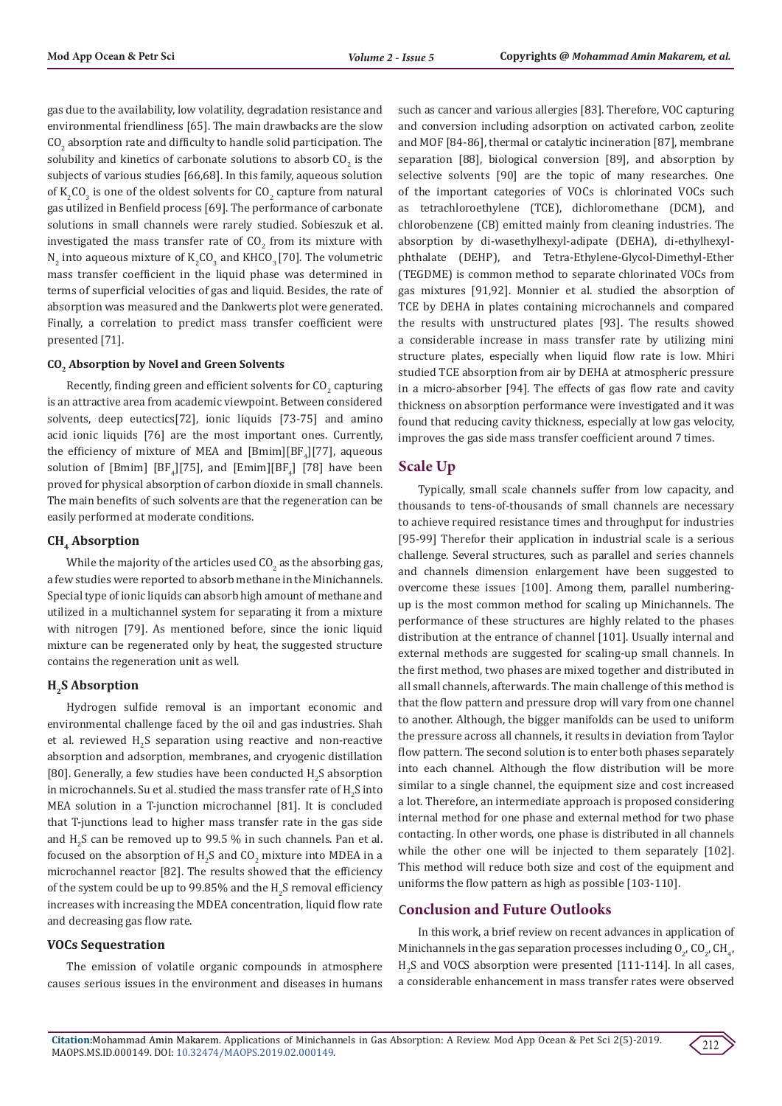gas due to the availability, low volatility, degradation resistance and environmental friendliness [65]. The main drawbacks are the slow  $\rm CO_{2}$  absorption rate and difficulty to handle solid participation. The solubility and kinetics of carbonate solutions to absorb  $\mathfrak{CO}_{2}$  is the subjects of various studies [66,68]. In this family, aqueous solution of  $\mathrm{K_{2}CO_{3}}$  is one of the oldest solvents for  $\mathrm{CO_{2}}$  capture from natural gas utilized in Benfield process [69]. The performance of carbonate solutions in small channels were rarely studied. Sobieszuk et al. investigated the mass transfer rate of  $CO_2$  from its mixture with  $N_2$  into aqueous mixture of  $K_2CO_3$  and KHCO<sub>3</sub> [70]. The volumetric mass transfer coefficient in the liquid phase was determined in terms of superficial velocities of gas and liquid. Besides, the rate of absorption was measured and the Dankwerts plot were generated. Finally, a correlation to predict mass transfer coefficient were presented [71].

#### **CO2 Absorption by Novel and Green Solvents**

Recently, finding green and efficient solvents for  $\mathsf{CO}_2$  capturing is an attractive area from academic viewpoint. Between considered solvents, deep eutectics[72], ionic liquids [73-75] and [amino](https://onlinelibrary.wiley.com/doi/abs/10.1002/cssc.201501691)  [acid ionic liquids](https://onlinelibrary.wiley.com/doi/abs/10.1002/cssc.201501691) [76] are the most important ones. Currently, the efficiency of mixture of MEA and  $[\text{Bmin}][\text{BF}_4][77]$ , aqueous solution of  $[Bmim]$   $[BF_4][75]$ , and  $[Emim][BF_4]$   $[78]$  have been proved for physical absorption of carbon dioxide in small channels. The main benefits of such solvents are that the regeneration can be easily performed at moderate conditions.

#### CH<sub>4</sub> Absorption

While the majority of the articles used  $\mathsf{CO}_2$  as the absorbing gas, a few studies were reported to absorb methane in the Minichannels. Special type of ionic liquids can absorb high amount of methane and utilized in a multichannel system for separating it from a mixture with nitrogen [79]. As mentioned before, since the ionic liquid mixture can be regenerated only by heat, the suggested structure contains the regeneration unit as well.

#### **H<sub>2</sub>S** Absorption

Hydrogen sulfide removal is an important economic and environmental challenge faced by the oil and gas industries. Shah et al. reviewed  $H_2S$  separation using reactive and non-reactive absorption and adsorption, membranes, and cryogenic distillation [80]. Generally, a few studies have been conducted  $\mathrm{H}_2\mathrm{S}$  absorption in microchannels. Su et al. studied the mass transfer rate of  $\rm H_2S$  into MEA solution in a T-junction microchannel [81]. It is concluded that T-junctions lead to higher mass transfer rate in the gas side and  $H_2S$  can be removed up to 99.5 % in such channels. Pan et al. focused on the absorption of  $H_2S$  and  $CO_2$  mixture into MDEA in a microchannel reactor [82]. The results showed that the efficiency of the system could be up to 99.85% and the  $\rm H_2S$  removal efficiency increases with increasing the MDEA concentration, liquid flow rate and decreasing gas flow rate.

#### **VOCs Sequestration**

The emission of volatile organic compounds in atmosphere causes serious issues in the environment and diseases in humans such as cancer and various allergies [83]. Therefore, VOC capturing and conversion including adsorption on activated carbon, zeolite and MOF [84-86], thermal or catalytic incineration [87], membrane separation [88], biological conversion [89], and absorption by selective solvents [90] are the topic of many researches. One of the important categories of VOCs is chlorinated VOCs such as tetrachloroethylene (TCE), dichloromethane (DCM), and chlorobenzene (CB) emitted mainly from cleaning industries. The absorption by di-wasethylhexyl-adipate (DEHA), di-ethylhexylphthalate (DEHP), and Tetra-Ethylene-Glycol-Dimethyl-Ether (TEGDME) is common method to separate chlorinated VOCs from gas mixtures [91,92]. Monnier et al. studied the absorption of TCE by DEHA in plates containing microchannels and compared the results with unstructured plates [93]. The results showed a considerable increase in mass transfer rate by utilizing mini structure plates, especially when liquid flow rate is low. Mhiri studied TCE absorption from air by DEHA at atmospheric pressure in a micro-absorber [94]. The effects of gas flow rate and cavity thickness on absorption performance were investigated and it was found that reducing cavity thickness, especially at low gas velocity, improves the gas side mass transfer coefficient around 7 times.

# **Scale Up**

Typically, small scale channels suffer from low capacity, and thousands to tens-of-thousands of small channels are necessary to achieve required resistance times and throughput for industries [95-99] Therefor their application in industrial scale is a serious challenge. Several structures, such as parallel and series channels and channels dimension enlargement have been suggested to overcome these issues [100]. Among them, parallel numberingup is the most common method for scaling up Minichannels. The performance of these structures are highly related to the phases distribution at the entrance of channel [101]. Usually internal and external methods are suggested for scaling-up small channels. In the first method, two phases are mixed together and distributed in all small channels, afterwards. The main challenge of this method is that the flow pattern and pressure drop will vary from one channel to another. Although, the bigger manifolds can be used to uniform the pressure across all channels, it results in deviation from Taylor flow pattern. The second solution is to enter both phases separately into each channel. Although the flow distribution will be more similar to a single channel, the equipment size and cost increased a lot. Therefore, an intermediate approach is proposed considering internal method for one phase and external method for two phase contacting. In other words, one phase is distributed in all channels while the other one will be injected to them separately [102]. This method will reduce both size and cost of the equipment and uniforms the flow pattern as high as possible [103-110].

## C**onclusion and Future Outlooks**

In this work, a brief review on recent advances in application of Minichannels in the gas separation processes including  $O_{2'}$  CO<sub>2</sub>, CH<sub>4</sub>,  $_{2}S$  and VOCS absorption were presented [111-114]. In all cases, a considerable enhancement in mass transfer rates were observed

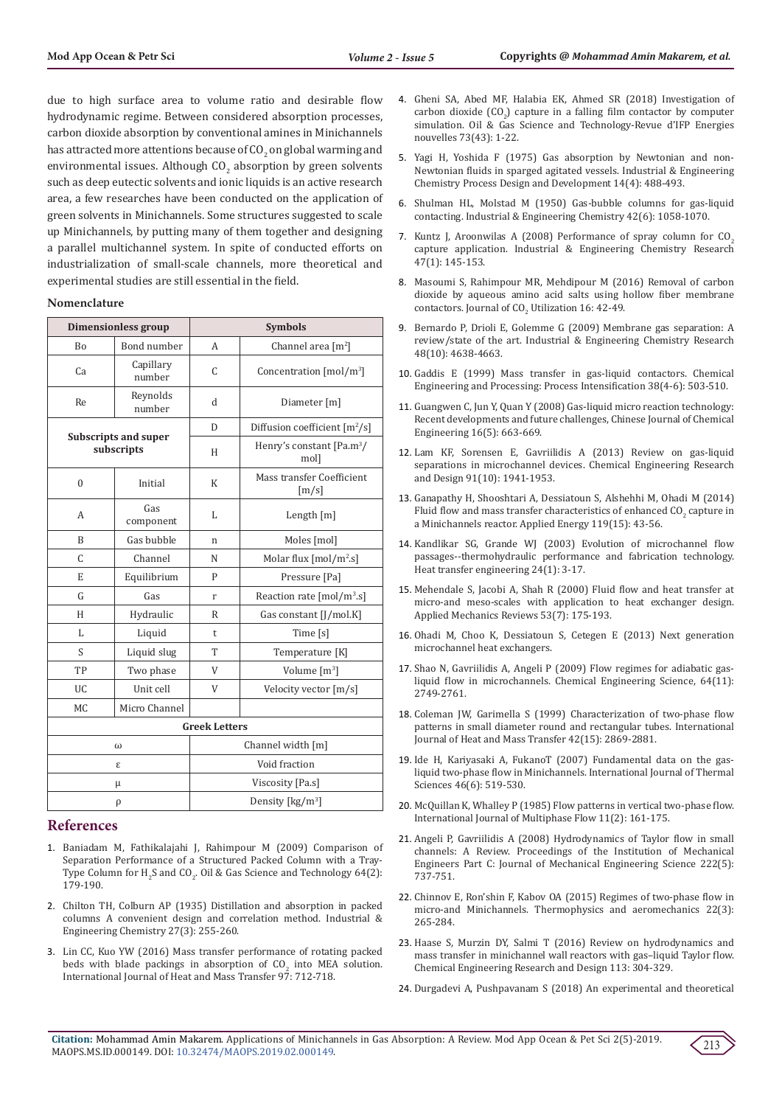due to high surface area to volume ratio and desirable flow hydrodynamic regime. Between considered absorption processes, carbon dioxide absorption by conventional amines in Minichannels has attracted more attentions because of  $\mathrm{CO}_2$  on global warming and environmental issues. Although  $\text{CO}_2$  absorption by green solvents such as deep eutectic solvents and ionic liquids is an active research area, a few researches have been conducted on the application of green solvents in Minichannels. Some structures suggested to scale up Minichannels, by putting many of them together and designing a parallel multichannel system. In spite of conducted efforts on industrialization of small-scale channels, more theoretical and experimental studies are still essential in the field.

#### **Nomenclature**

| <b>Dimensionless group</b>         |                     | <b>Symbols</b>              |                                                         |  |
|------------------------------------|---------------------|-----------------------------|---------------------------------------------------------|--|
| <b>Bo</b>                          | Bond number         | A                           | Channel area $\lceil m^2 \rceil$                        |  |
| Ca                                 | Capillary<br>number | C                           | Concentration $\text{[mol/m}^3\text{]}$                 |  |
| Re                                 | Reynolds<br>number  | $\mathbf d$                 | Diameter [m]                                            |  |
| Subscripts and super<br>subscripts |                     | D                           | Diffusion coefficient $\lceil m^2/s \rceil$             |  |
|                                    |                     | H                           | Henry's constant [Pa.m <sup>3</sup> /<br>mol]           |  |
| $\theta$                           | Initial             | K                           | Mass transfer Coefficient<br>$\left[\frac{m}{s}\right]$ |  |
| A                                  | Gas<br>component    | L                           | Length $[m]$                                            |  |
| B                                  | Gas bubble          | n                           | Moles [mol]                                             |  |
| C                                  | Channel             | N                           | Molar flux [mol/m <sup>2</sup> .s]                      |  |
| E                                  | Equilibrium         | P                           | Pressure [Pa]                                           |  |
| G                                  | Gas                 | r                           | Reaction rate $\text{[mol/m}^3\text{.s}\text{]}$        |  |
| H                                  | Hydraulic           | R                           | Gas constant [J/mol.K]                                  |  |
| L                                  | Liquid              | t                           | Time [s]                                                |  |
| S                                  | Liquid slug         | T                           | Temperature [K]                                         |  |
| TP                                 | Two phase           | V                           | Volume $[m^3]$                                          |  |
| <b>UC</b>                          | Unit cell           | V                           | Velocity vector [m/s]                                   |  |
| <b>MC</b>                          | Micro Channel       |                             |                                                         |  |
| <b>Greek Letters</b>               |                     |                             |                                                         |  |
| ω                                  |                     | Channel width [m]           |                                                         |  |
|                                    | ε                   | Void fraction               |                                                         |  |
| μ                                  |                     | Viscosity [Pa.s]            |                                                         |  |
| ρ                                  |                     | Density [ $\text{kg/m}^3$ ] |                                                         |  |

### **References**

- 1. [Baniadam M, Fathikalajahi J, Rahimpour M \(2009\) Comparison of](https://ogst.ifpenergiesnouvelles.fr/articles/ogst/abs/2009/02/ogst08009/ogst08009.html)  [Separation Performance of a Structured Packed Column with a Tray-](https://ogst.ifpenergiesnouvelles.fr/articles/ogst/abs/2009/02/ogst08009/ogst08009.html)Type Column for  $H_2S$  and CO<sub>2</sub>. Oil & Gas Science and Technology 64(2): [179-190.](https://ogst.ifpenergiesnouvelles.fr/articles/ogst/abs/2009/02/ogst08009/ogst08009.html)
- 2. [Chilton TH, Colburn AP \(1935\) Distillation and absorption in packed](https://pubs.acs.org/doi/abs/10.1021/ie50303a004?src=recsys)  [columns A convenient design and correlation method. Industrial &](https://pubs.acs.org/doi/abs/10.1021/ie50303a004?src=recsys)  [Engineering Chemistry 27\(3\): 255-260.](https://pubs.acs.org/doi/abs/10.1021/ie50303a004?src=recsys)
- 3. [Lin CC, Kuo YW \(2016\) Mass transfer performance of rotating packed](https://www.researchgate.net/publication/297650653_Mass_transfer_performance_of_rotating_packed_beds_with_blade_packings_in_absorption_of_CO2_into_MEA_solution)  beds with blade packings in absorption of  $CO<sub>2</sub>$  into MEA solution. [International Journal of Heat and Mass Transfer 97: 712-718.](https://www.researchgate.net/publication/297650653_Mass_transfer_performance_of_rotating_packed_beds_with_blade_packings_in_absorption_of_CO2_into_MEA_solution)
- 4. [Gheni SA, Abed MF, Halabia EK, Ahmed SR \(2018\) Investigation of](https://ogst.ifpenergiesnouvelles.fr/articles/ogst/abs/2018/01/ogst170145/ogst170145.html) carbon dioxide  $(CO_2)$  capture in a falling film contactor by computer [simulation. Oil & Gas Science and Technology-Revue d'IFP Energies](https://ogst.ifpenergiesnouvelles.fr/articles/ogst/abs/2018/01/ogst170145/ogst170145.html) [nouvelles 73\(43\): 1-22.](https://ogst.ifpenergiesnouvelles.fr/articles/ogst/abs/2018/01/ogst170145/ogst170145.html)
- 5. [Yagi H, Yoshida F \(1975\) Gas absorption by Newtonian and non-](https://pubs.acs.org/doi/abs/10.1021/i260056a024)[Newtonian fluids in sparged agitated vessels. Industrial & Engineering](https://pubs.acs.org/doi/abs/10.1021/i260056a024) [Chemistry Process Design and Development 14\(4\): 488-493.](https://pubs.acs.org/doi/abs/10.1021/i260056a024)
- 6. [Shulman HL, Molstad M \(1950\) Gas-bubble columns for gas-liquid](https://pubs.acs.org/doi/abs/10.1021/ie50486a017) [contacting. Industrial & Engineering Chemistry 42\(6\): 1058-1070.](https://pubs.acs.org/doi/abs/10.1021/ie50486a017)
- 7. Kuntz J, Aroonwilas A (2008) Performance of spray column for  $CO<sub>2</sub>$ [capture application. Industrial & Engineering Chemistry Research](https://pubs.acs.org/doi/abs/10.1021/ie061702l) [47\(1\): 145-153](https://pubs.acs.org/doi/abs/10.1021/ie061702l).
- 8. [Masoumi S, Rahimpour MR, Mehdipour M \(2016\) Removal of carbon](https://www.sciencedirect.com/science/article/pii/S2212982016301019) [dioxide by aqueous amino acid salts using hollow fiber membrane](https://www.sciencedirect.com/science/article/pii/S2212982016301019) contactors. Journal of  $CO_2$  Utilization 16: 42-49.
- 9. [Bernardo P, Drioli E, Golemme G \(2009\) Membrane gas separation: A](https://pubs.acs.org/doi/10.1021/ie8019032) [review/state of the art. Industrial & Engineering Chemistry Research](https://pubs.acs.org/doi/10.1021/ie8019032) [48\(10\): 4638-4663.](https://pubs.acs.org/doi/10.1021/ie8019032)
- 10. [Gaddis E \(1999\) Mass transfer in gas-liquid contactors. Chemical](https://www.sciencedirect.com/science/article/abs/pii/S025527019900046X) [Engineering and Processing: Process Intensification 38\(4-6\): 503-510.](https://www.sciencedirect.com/science/article/abs/pii/S025527019900046X)
- 11. [Guangwen C, Jun Y, Quan Y \(2008\) Gas-liquid micro reaction technology:](https://www.sciencedirect.com/science/article/abs/pii/S100495410860138X) [Recent developments and future challenges, Chinese Journal of Chemical](https://www.sciencedirect.com/science/article/abs/pii/S100495410860138X) [Engineering 16\(5\): 663-669.](https://www.sciencedirect.com/science/article/abs/pii/S100495410860138X)
- 12. [Lam KF, Sorensen E, Gavriilidis A \(2013\) Review on gas-liquid](https://www.sciencedirect.com/science/article/pii/S0263876213003286) [separations in microchannel devices. Chemical Engineering Research](https://www.sciencedirect.com/science/article/pii/S0263876213003286) [and Design 91\(10\): 1941-1953.](https://www.sciencedirect.com/science/article/pii/S0263876213003286)
- 13. [Ganapathy H, Shooshtari A, Dessiatoun S, Alshehhi M, Ohadi M \(2014\)](https://www.sciencedirect.com/science/article/pii/S0306261913010568) Fluid flow and mass transfer characteristics of enhanced  $CO_2$  capture in [a Minichannels reactor. Applied Energy 119\(15\): 43-56.](https://www.sciencedirect.com/science/article/pii/S0306261913010568)
- 14. [Kandlikar SG, Grande WJ \(2003\) Evolution of microchannel flow](https://www.tandfonline.com/doi/abs/10.1080/01457630304040) [passages--thermohydraulic performance and fabrication technology.](https://www.tandfonline.com/doi/abs/10.1080/01457630304040) [Heat transfer engineering 24\(1\): 3-17.](https://www.tandfonline.com/doi/abs/10.1080/01457630304040)
- 15. [Mehendale S, Jacobi A, Shah R \(2000\) Fluid flow and heat transfer at](https://asmedigitalcollection.asme.org/appliedmechanicsreviews/article-abstract/53/7/175/401379/Fluid-Flow-and-Heat-Transfer-at-Micro-and-Meso?redirectedFrom=fulltext) [micro-and meso-scales with application to heat exchanger design.](https://asmedigitalcollection.asme.org/appliedmechanicsreviews/article-abstract/53/7/175/401379/Fluid-Flow-and-Heat-Transfer-at-Micro-and-Meso?redirectedFrom=fulltext) [Applied Mechanics Reviews 53\(7\): 175-193.](https://asmedigitalcollection.asme.org/appliedmechanicsreviews/article-abstract/53/7/175/401379/Fluid-Flow-and-Heat-Transfer-at-Micro-and-Meso?redirectedFrom=fulltext)
- 16. Ohadi M, Choo K, Dessiatoun S, Cetegen E (2013) Next generation microchannel heat exchangers.
- 17. [Shao N, Gavriilidis A, Angeli P \(2009\) Flow regimes for adiabatic gas](https://www.sciencedirect.com/science/article/pii/S0009250909000827)[liquid flow in microchannels. Chemical Engineering Science, 64\(11\):](https://www.sciencedirect.com/science/article/pii/S0009250909000827) [2749-2761.](https://www.sciencedirect.com/science/article/pii/S0009250909000827)
- 18. [Coleman JW, Garimella S \(1999\) Characterization of two-phase flow](https://www.sciencedirect.com/science/article/abs/pii/S0017931098003627) [patterns in small diameter round and rectangular tubes. International](https://www.sciencedirect.com/science/article/abs/pii/S0017931098003627) [Journal of Heat and Mass Transfer 42\(15\): 2869-2881.](https://www.sciencedirect.com/science/article/abs/pii/S0017931098003627)
- 19. [Ide H, Kariyasaki A, FukanoT \(2007\) Fundamental data on the gas](https://www.sciencedirect.com/science/article/pii/S1290072906001475)[liquid two-phase flow in Minichannels. International Journal of Thermal](https://www.sciencedirect.com/science/article/pii/S1290072906001475) [Sciences 46\(6\): 519-530.](https://www.sciencedirect.com/science/article/pii/S1290072906001475)
- 20. [McQuillan K, Whalley P \(1985\) Flow patterns in vertical two-phase flow.](https://www.sciencedirect.com/science/article/pii/0301932285900436) [International Journal of Multiphase Flow 11\(2\): 161-175.](https://www.sciencedirect.com/science/article/pii/0301932285900436)
- 21. [Angeli P, Gavriilidis A \(2008\) Hydrodynamics of Taylor flow in small](https://journals.sagepub.com/doi/10.1243/09544062JMES776) [channels: A Review. Proceedings of the Institution of Mechanical](https://journals.sagepub.com/doi/10.1243/09544062JMES776) [Engineers Part C: Journal of Mechanical Engineering Science 222\(5\):](https://journals.sagepub.com/doi/10.1243/09544062JMES776) [737-751.](https://journals.sagepub.com/doi/10.1243/09544062JMES776)
- 22. [Chinnov E, Ron'shin F, Kabov OA \(2015\) Regimes of two-phase flow in](https://link.springer.com/article/10.1134/S0869864315030014) [micro-and Minichannels. Thermophysics and aeromechanics 22\(3\):](https://link.springer.com/article/10.1134/S0869864315030014) [265-284.](https://link.springer.com/article/10.1134/S0869864315030014)
- 23. [Haase S, Murzin DY, Salmi T \(2016\) Review on hydrodynamics and](https://www.sciencedirect.com/science/article/pii/S0263876216301496) [mass transfer in minichannel wall reactors with gas–liquid Taylor flow.](https://www.sciencedirect.com/science/article/pii/S0263876216301496) [Chemical Engineering Research and Design 113: 304-329.](https://www.sciencedirect.com/science/article/pii/S0263876216301496)
- 24. [Durgadevi A, Pushpavanam S \(2018\) An experimental and theoretical](https://www.sciencedirect.com/science/article/pii/S2212982017306315)

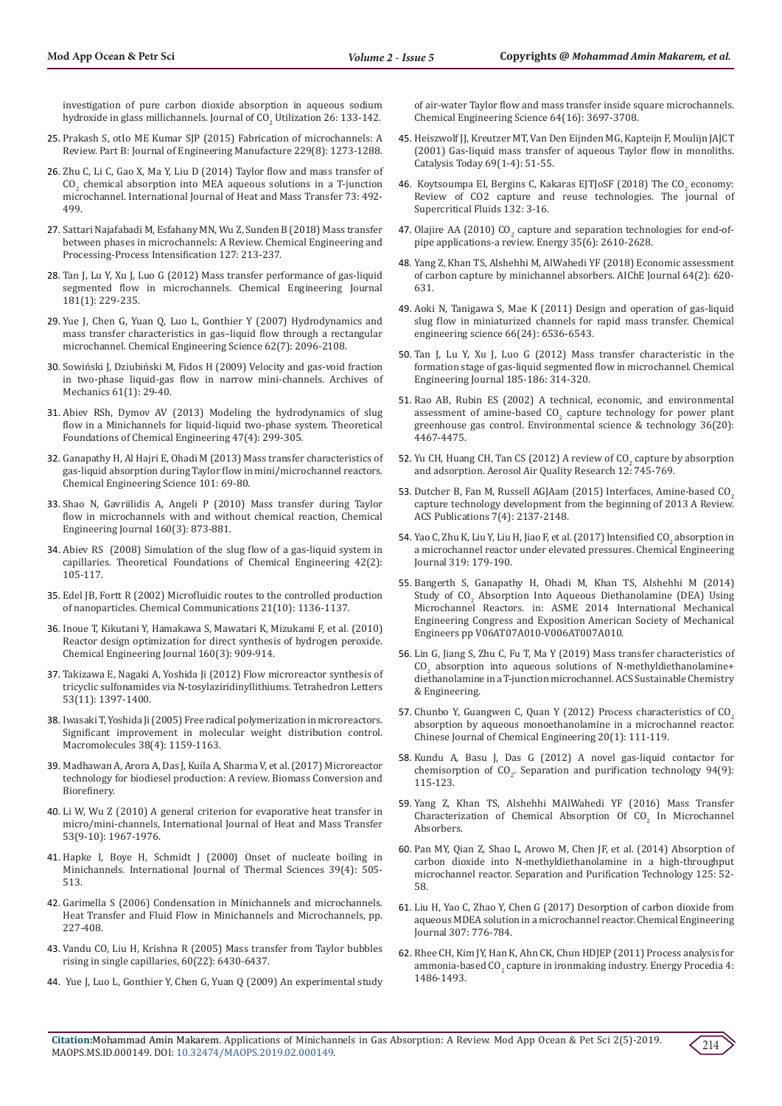[investigation of pure carbon dioxide absorption in aqueous sodium](https://www.sciencedirect.com/science/article/pii/S2212982017306315)  hydroxide in glass millichannels. Journal of  $\rm CO_{2}$  Utilization 26: 133-142.

- 25. [Prakash S, otIo ME Kumar SJP \(2015\) Fabrication of microchannels: A](https://journals.sagepub.com/doi/abs/10.1177/0954405414535581?journalCode=pibb)  [Review. Part B: Journal of Engineering Manufacture 229\(8\): 1273-1288.](https://journals.sagepub.com/doi/abs/10.1177/0954405414535581?journalCode=pibb)
- 26. [Zhu C, Li C, Gao X, Ma Y, Liu D \(2014\) Taylor flow and mass transfer of](https://www.sciencedirect.com/science/article/abs/pii/S0017931014001574)   $CO<sub>2</sub>$  chemical absorption into MEA aqueous solutions in a T-junction [microchannel. International Journal of Heat and Mass Transfer 73: 492-](https://www.sciencedirect.com/science/article/abs/pii/S0017931014001574) [499.](https://www.sciencedirect.com/science/article/abs/pii/S0017931014001574)
- 27. [Sattari Najafabadi M, Esfahany MN, Wu Z, Sunden B \(2018\) Mass transfer](https://www.sciencedirect.com/science/article/abs/pii/S025527011731228X)  [between phases in microchannels: A Review. Chemical Engineering and](https://www.sciencedirect.com/science/article/abs/pii/S025527011731228X)  [Processing-Process Intensification 127: 213-237.](https://www.sciencedirect.com/science/article/abs/pii/S025527011731228X)
- 28. [Tan J, Lu Y, Xu J, Luo G \(2012\) Mass transfer performance of gas-liquid](https://www.sciencedirect.com/science/article/pii/S1385894711014677)  [segmented flow in microchannels. Chemical Engineering Journal](https://www.sciencedirect.com/science/article/pii/S1385894711014677)  [181\(1\): 229-235.](https://www.sciencedirect.com/science/article/pii/S1385894711014677)
- 29. [Yue J, Chen G, Yuan Q, Luo L, Gonthier Y \(2007\) Hydrodynamics and](https://www.sciencedirect.com/science/article/pii/S0009250907000097)  [mass transfer characteristics in gas–liquid flow through a rectangular](https://www.sciencedirect.com/science/article/pii/S0009250907000097)  [microchannel. Chemical Engineering Science 62\(7\): 2096-2108.](https://www.sciencedirect.com/science/article/pii/S0009250907000097)
- 30. [Sowiński J, Dziubiński M, Fidos H \(2009\) Velocity and gas-void fraction](http://yadda.icm.edu.pl/baztech/element/bwmeta1.element.baztech-article-BAT7-0015-0023)  [in two-phase liquid-gas flow in narrow mini-channels. Archives of](http://yadda.icm.edu.pl/baztech/element/bwmeta1.element.baztech-article-BAT7-0015-0023)  [Mechanics 61\(1\): 29-40.](http://yadda.icm.edu.pl/baztech/element/bwmeta1.element.baztech-article-BAT7-0015-0023)
- 31. [Abiev RSh, Dymov AV \(2013\) Modeling the hydrodynamics of slug](https://link.springer.com/article/10.1134/S0040579513040180)  [flow in a Minichannels for liquid-liquid two-phase system. Theoretical](https://link.springer.com/article/10.1134/S0040579513040180)  [Foundations of Chemical Engineering 47\(4\): 299-305.](https://link.springer.com/article/10.1134/S0040579513040180)
- 32. [Ganapathy H, Al Hajri E, Ohadi M \(2013\) Mass transfer characteristics of](https://www.sciencedirect.com/science/article/pii/S0009250913004120)  [gas-liquid absorption during Taylor flow in mini/microchannel reactors.](https://www.sciencedirect.com/science/article/pii/S0009250913004120)  [Chemical Engineering Science 101: 69-80.](https://www.sciencedirect.com/science/article/pii/S0009250913004120)
- 33. [Shao N, Gavriilidis A, Angeli P \(2010\) Mass transfer during Taylor](https://www.sciencedirect.com/science/article/pii/S1385894710001750)  [flow in microchannels with and without chemical reaction, Chemical](https://www.sciencedirect.com/science/article/pii/S1385894710001750)  [Engineering Journal 160\(3\): 873-881.](https://www.sciencedirect.com/science/article/pii/S1385894710001750)
- 34. [Abiev RS \(2008\) Simulation of the slug flow of a gas-liquid system in](https://link.springer.com/article/10.1134/S0040579508020012)  [capillaries. Theoretical Foundations of Chemical Engineering 42\(2\):](https://link.springer.com/article/10.1134/S0040579508020012)  [105-117.](https://link.springer.com/article/10.1134/S0040579508020012)
- 35. [Edel JB, Fortt R \(2002\) Microfluidic routes to the controlled production](https://www.ncbi.nlm.nih.gov/pubmed/12122702)  [of nanoparticles. Chemical Communications 21\(10\): 1136-1137.](https://www.ncbi.nlm.nih.gov/pubmed/12122702)
- 36. [Inoue T, Kikutani Y, Hamakawa S, Mawatari K, Mizukami F, et al. \(2010\)](https://www.sciencedirect.com/science/article/pii/S1385894710001397)  [Reactor design optimization for direct synthesis of hydrogen peroxide.](https://www.sciencedirect.com/science/article/pii/S1385894710001397)  [Chemical Engineering Journal 160\(3\): 909-914.](https://www.sciencedirect.com/science/article/pii/S1385894710001397)
- 37. [Takizawa E, Nagaki A, Yoshida Ji \(2012\) Flow microreactor synthesis of](https://www.sciencedirect.com/science/article/pii/S0040403912000433)  [tricyclic sulfonamides via N-tosylaziridinyllithiums. Tetrahedron Letters](https://www.sciencedirect.com/science/article/pii/S0040403912000433)  [53\(11\): 1397-1400.](https://www.sciencedirect.com/science/article/pii/S0040403912000433)
- 38. [Iwasaki T, Yoshida Ji \(2005\) Free radical polymerization in microreactors.](https://pubs.acs.org/doi/full/10.1021/ma048369m)  [Significant improvement in molecular weight distribution control.](https://pubs.acs.org/doi/full/10.1021/ma048369m)  [Macromolecules 38\(4\): 1159-1163.](https://pubs.acs.org/doi/full/10.1021/ma048369m)
- 39. [Madhawan A, Arora A, Das J, Kuila A, Sharma V, et al. \(2017\) Microreactor](https://www.researchgate.net/publication/321289494_Microreactor_technology_for_biodiesel_production_a_review)  [technology for biodiesel production: A review. Biomass Conversion and](https://www.researchgate.net/publication/321289494_Microreactor_technology_for_biodiesel_production_a_review)  [Biorefinery.](https://www.researchgate.net/publication/321289494_Microreactor_technology_for_biodiesel_production_a_review)
- 40. [Li W, Wu Z \(2010\) A general criterion for evaporative heat transfer in](https://www.sciencedirect.com/science/article/abs/pii/S0017931009007303)  [micro/mini-channels, International Journal of Heat and Mass Transfer](https://www.sciencedirect.com/science/article/abs/pii/S0017931009007303)  [53\(9-10\): 1967-1976.](https://www.sciencedirect.com/science/article/abs/pii/S0017931009007303)
- 41. [Hapke I, Boye H, Schmidt J \(2000\) Onset of nucleate boiling in](https://www.sciencedirect.com/science/article/pii/S1290072900002064)  [Minichannels. International Journal of Thermal Sciences 39\(4\): 505-](https://www.sciencedirect.com/science/article/pii/S1290072900002064) [513.](https://www.sciencedirect.com/science/article/pii/S1290072900002064)
- 42. [Garimella S \(2006\) Condensation in Minichannels and microchannels.](https://www.researchgate.net/publication/278665807_Condensation_in_Minichannels_and_Microchannels)  [Heat Transfer and Fluid Flow in Minichannels and Microchannels, pp.](https://www.researchgate.net/publication/278665807_Condensation_in_Minichannels_and_Microchannels)  [227-408.](https://www.researchgate.net/publication/278665807_Condensation_in_Minichannels_and_Microchannels)
- 43. [Vandu CO, Liu H, Krishna R \(2005\) Mass transfer from Taylor bubbles](https://www.researchgate.net/publication/244117354_Mass_transfer_from_Taylor_bubbles_rising_in_single_capillaries)  [rising in single capillaries, 60\(22\): 6430-6437.](https://www.researchgate.net/publication/244117354_Mass_transfer_from_Taylor_bubbles_rising_in_single_capillaries)
- 44. [Yue J, Luo L, Gonthier Y, Chen G, Yuan Q \(2009\) An experimental study](https://www.sciencedirect.com/science/article/pii/S0009250909003388)

[of air-water Taylor flow and mass transfer inside square microchannels.](https://www.sciencedirect.com/science/article/pii/S0009250909003388) [Chemical Engineering Science 64\(16\): 3697-3708.](https://www.sciencedirect.com/science/article/pii/S0009250909003388)

- 45. [Heiszwolf JJ, Kreutzer MT, Van Den Eijnden MG, Kapteijn F, Moulijn JAJCT](https://www.sciencedirect.com/science/article/abs/pii/S0920586101003546) [\(2001\) Gas-liquid mass transfer of aqueous Taylor flow in monoliths.](https://www.sciencedirect.com/science/article/abs/pii/S0920586101003546) [Catalysis Today 69\(1-4\): 51-55.](https://www.sciencedirect.com/science/article/abs/pii/S0920586101003546)
- 46. Koytsoumpa EI, Bergins C, Kakaras EJTJoSF (2018) The  $CO<sub>2</sub>$  economy: [Review of CO2 capture and reuse technologies. The journal of](https://www.sciencedirect.com/science/article/pii/S0896844617300694) [Supercritical Fluids 132: 3-16.](https://www.sciencedirect.com/science/article/pii/S0896844617300694)
- 47. Olajire AA (2010)  $CO_2$  [capture and separation technologies for end-of](https://www.sciencedirect.com/science/article/abs/pii/S0360544210000848)[pipe applications-a review. Energy 35\(6\): 2610-2628.](https://www.sciencedirect.com/science/article/abs/pii/S0360544210000848)
- 48. [Yang Z, Khan TS, Alshehhi M, AlWahedi YF \(2018\) Economic assessment](https://aiche.onlinelibrary.wiley.com/doi/abs/10.1002/aic.15919) [of carbon capture by minichannel absorbers. AIChE Journal 64\(2\): 620-](https://aiche.onlinelibrary.wiley.com/doi/abs/10.1002/aic.15919) [631.](https://aiche.onlinelibrary.wiley.com/doi/abs/10.1002/aic.15919)
- 49. [Aoki N, Tanigawa S, Mae K \(2011\) Design and operation of gas-liquid](https://www.sciencedirect.com/science/article/pii/S0009250911006580) [slug flow in miniaturized channels for rapid mass transfer. Chemical](https://www.sciencedirect.com/science/article/pii/S0009250911006580) [engineering science 66\(24\): 6536-6543.](https://www.sciencedirect.com/science/article/pii/S0009250911006580)
- 50. [Tan J, Lu Y, Xu J, Luo G \(2012\) Mass transfer characteristic in the](https://www.sciencedirect.com/science/article/pii/S1385894712000575) [formation stage of gas-liquid segmented flow in microchannel. Chemical](https://www.sciencedirect.com/science/article/pii/S1385894712000575) [Engineering Journal 185-186: 314-320.](https://www.sciencedirect.com/science/article/pii/S1385894712000575)
- 51. [Rao AB, Rubin ES \(2002\) A technical, economic, and environmental](https://www.ncbi.nlm.nih.gov/pubmed/12387425) assessment of amine-based  $CO<sub>2</sub>$  [capture technology for power plant](https://www.ncbi.nlm.nih.gov/pubmed/12387425) [greenhouse gas control. Environmental science & technology 36\(20\):](https://www.ncbi.nlm.nih.gov/pubmed/12387425) [4467-4475.](https://www.ncbi.nlm.nih.gov/pubmed/12387425)
- 52. Yu CH, Huang CH, Tan CS (2012) A review of  $CO<sub>2</sub>$  capture by absorption [and adsorption. Aerosol Air Quality Research 12: 745-769.](https://pdfs.semanticscholar.org/cc7f/a74f6c37d252920e46929a9a242d2fa0e183.pdf)
- 53. [Dutcher B, Fan M, Russell AGJAam \(2015\) Interfaces, Amine-based CO](https://pubs.acs.org/doi/10.1021/am507465f)<sub>2</sub> [capture technology development from the beginning of 2013 A Review.](https://pubs.acs.org/doi/10.1021/am507465f) [ACS Publications 7\(4\): 2137-2148.](https://pubs.acs.org/doi/10.1021/am507465f)
- 54. Yao C, Zhu K, Liu Y, Liu H, Jiao F, et al. (2017) Intensified  $\rm CO_{2}$  absorption in [a microchannel reactor under elevated pressures. Chemical Engineering](https://www.sciencedirect.com/science/article/pii/S1385894717303418) [Journal 319: 179-190.](https://www.sciencedirect.com/science/article/pii/S1385894717303418)
- 55. [Bangerth S, Ganapathy H, Ohadi M, Khan TS, Alshehhi M \(2014\)](https://asmedigitalcollection.asme.org/IMECE/proceedings-abstract/IMECE2014/46514/V06AT07A010/257522) Study of  $CO_2$  [Absorption Into Aqueous Diethanolamine \(DEA\) Using](https://asmedigitalcollection.asme.org/IMECE/proceedings-abstract/IMECE2014/46514/V06AT07A010/257522) [Microchannel Reactors. in: ASME 2014 International Mechanical](https://asmedigitalcollection.asme.org/IMECE/proceedings-abstract/IMECE2014/46514/V06AT07A010/257522) [Engineering Congress and Exposition American Society of Mechanical](https://asmedigitalcollection.asme.org/IMECE/proceedings-abstract/IMECE2014/46514/V06AT07A010/257522) [Engineers pp V06AT07A010-V006AT007A010.](https://asmedigitalcollection.asme.org/IMECE/proceedings-abstract/IMECE2014/46514/V06AT07A010/257522)
- 56. [Lin G, Jiang S, Zhu C, Fu T, Ma Y \(2019\) Mass transfer characteristics of](https://pubs.acs.org/doi/10.1021/acssuschemeng.8b06231)  $CO<sub>2</sub>$  [absorption into aqueous solutions of N-methyldiethanolamine+](https://pubs.acs.org/doi/10.1021/acssuschemeng.8b06231) [diethanolamine in a T-junction microchannel. ACS Sustainable Chemistry](https://pubs.acs.org/doi/10.1021/acssuschemeng.8b06231) [& Engineering.](https://pubs.acs.org/doi/10.1021/acssuschemeng.8b06231)
- 57. [Chunbo Y, Guangwen C, Quan Y \(2012\) Process characteristics of CO](https://www.sciencedirect.com/science/article/abs/pii/S100495411260370X)<sub>2</sub> [absorption by aqueous monoethanolamine in a microchannel reactor.](https://www.sciencedirect.com/science/article/abs/pii/S100495411260370X) [Chinese Journal of Chemical Engineering 20\(1\): 111-119.](https://www.sciencedirect.com/science/article/abs/pii/S100495411260370X)
- 58. [Kundu A, Basu J, Das G \(2012\) A novel gas-liquid contactor for](https://www.sciencedirect.com/science/article/pii/S1383586611006605) chemisorption of  $CO<sub>2</sub>$ [. Separation and purification technology 94\(9\):](https://www.sciencedirect.com/science/article/pii/S1383586611006605) [115-123.](https://www.sciencedirect.com/science/article/pii/S1383586611006605)
- 59. [Yang Z, Khan TS, Alshehhi MAlWahedi YF \(2016\) Mass Transfer](https://www.researchgate.net/publication/311107847_MASS_TRANSFER_CHARACTERIZATION_OF_CHEMICAL_ABSORPTION_OF_CO2_IN_MICROCHANNEL_ABSORBERS) Characterization of Chemical Absorption Of  $CO<sub>2</sub>$  In Microchannel [Absorbers.](https://www.researchgate.net/publication/311107847_MASS_TRANSFER_CHARACTERIZATION_OF_CHEMICAL_ABSORPTION_OF_CO2_IN_MICROCHANNEL_ABSORBERS)
- 60. [Pan MY, Qian Z, Shao L, Arowo M, Chen JF, et al. \(2014\) Absorption of](https://www.sciencedirect.com/science/article/pii/S1383586614000549) [carbon dioxide into N-methyldiethanolamine in a high-throughput](https://www.sciencedirect.com/science/article/pii/S1383586614000549) [microchannel reactor. Separation and Purification Technology 125: 52-](https://www.sciencedirect.com/science/article/pii/S1383586614000549) [58](https://www.sciencedirect.com/science/article/pii/S1383586614000549).
- 61. [Liu H, Yao C, Zhao Y, Chen G \(2017\) Desorption of carbon dioxide from](file:///C:\Users\Lupine\Desktop\sciencedirect.com\science\article\pii\S1385894716312463) [aqueous MDEA solution in a microchannel reactor. Chemical Engineering](file:///C:\Users\Lupine\Desktop\sciencedirect.com\science\article\pii\S1385894716312463) [Journal 307: 776-784.](file:///C:\Users\Lupine\Desktop\sciencedirect.com\science\article\pii\S1385894716312463)
- 62. [Rhee CH, Kim JY, Han K, Ahn CK, Chun HDJEP \(2011\) Process analysis for](https://www.sciencedirect.com/science/article/pii/S1876610211002128) ammonia-based  $CO<sub>2</sub>$  [capture in ironmaking industry. Energy Procedia 4:](https://www.sciencedirect.com/science/article/pii/S1876610211002128) [1486-1493.](https://www.sciencedirect.com/science/article/pii/S1876610211002128)

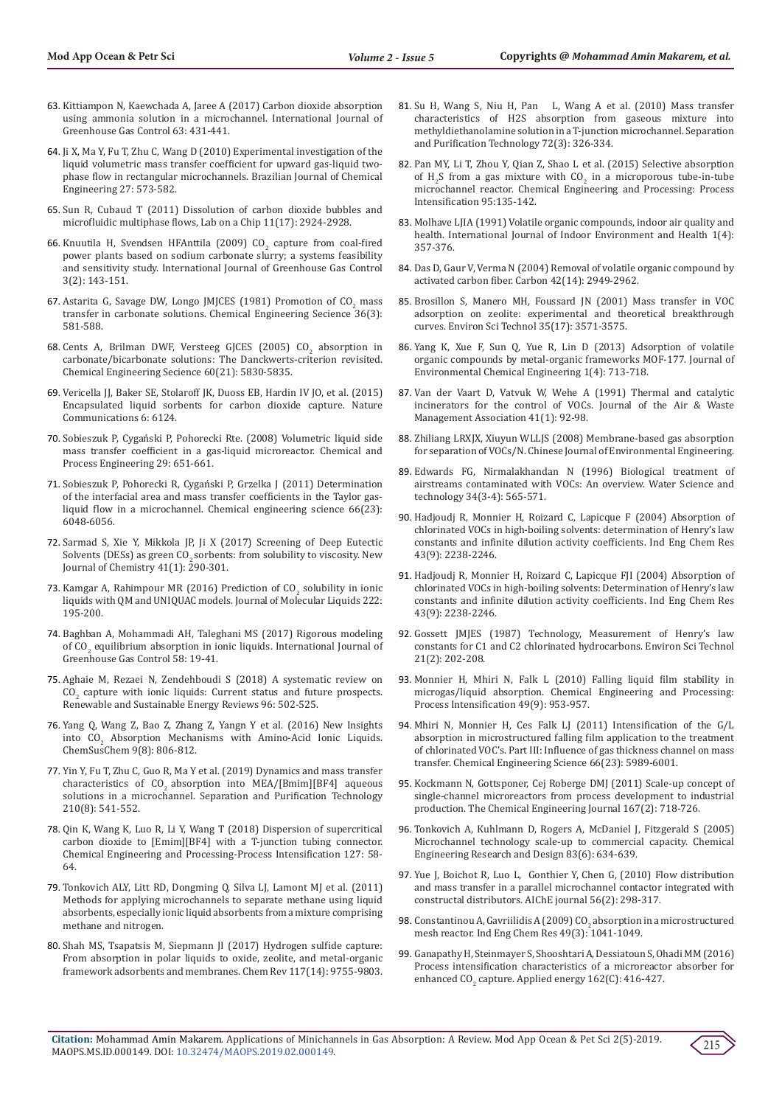- 63. [Kittiampon N, Kaewchada A, Jaree A \(2017\) Carbon dioxide absorption](https://www.sciencedirect.com/science/article/abs/pii/S1750583617300944)  [using ammonia solution in a microchannel. International Journal of](https://www.sciencedirect.com/science/article/abs/pii/S1750583617300944)  [Greenhouse Gas Control 63: 431-441.](https://www.sciencedirect.com/science/article/abs/pii/S1750583617300944)
- 64. [Ji X, Ma Y, Fu T, Zhu C, Wang D \(2010\) Experimental investigation of the](http://www.scielo.br/scielo.php?script=sci_arttext&pid=S0104-66322010000400009)  [liquid volumetric mass transfer coefficient for upward gas-liquid two](http://www.scielo.br/scielo.php?script=sci_arttext&pid=S0104-66322010000400009)[phase flow in rectangular microchannels. Brazilian Journal of Chemical](http://www.scielo.br/scielo.php?script=sci_arttext&pid=S0104-66322010000400009)  [Engineering 27: 573-582.](http://www.scielo.br/scielo.php?script=sci_arttext&pid=S0104-66322010000400009)
- 65. [Sun R, Cubaud T \(2011\) Dissolution of carbon dioxide bubbles and](https://www.ncbi.nlm.nih.gov/pubmed/21755094)  [microfluidic multiphase flows, Lab on a Chip 11\(17\): 2924-2928.](https://www.ncbi.nlm.nih.gov/pubmed/21755094)
- 66. Knuutila H, Svendsen HFAnttila (2009)  $CO<sub>2</sub>$  capture from coal-fired [power plants based on sodium carbonate slurry; a systems feasibility](https://www.sciencedirect.com/science/article/abs/pii/S175058360800056X)  [and sensitivity study. International Journal of Greenhouse Gas Control](https://www.sciencedirect.com/science/article/abs/pii/S175058360800056X)  [3\(2\): 143-151.](https://www.sciencedirect.com/science/article/abs/pii/S175058360800056X)
- 67. Astarita G, Savage DW, Longo JMJCES (1981) Promotion of  $CO<sub>2</sub>$  mass [transfer in carbonate solutions. Chemical Engineering Secience 36\(3\):](https://www.sciencedirect.com/science/article/pii/0009250981801467)  [581-588.](https://www.sciencedirect.com/science/article/pii/0009250981801467)
- 68. Cents A, Brilman DWF, Versteeg GJCES (2005)  $CO<sub>2</sub>$  absorption in [carbonate/bicarbonate solutions: The Danckwerts-criterion revisited.](file:///C:\Users\Lupine\Desktop\sciencedirect.com\science\article\pii\S0009250905004306)  [Chemical Engineering Secience 60\(21\): 5830-5835.](file:///C:\Users\Lupine\Desktop\sciencedirect.com\science\article\pii\S0009250905004306)
- 69. [Vericella JJ, Baker SE, Stolaroff JK, Duoss EB, Hardin IV JO, et al. \(2015\)](https://www.nature.com/articles/ncomms7124)  [Encapsulated liquid sorbents for carbon dioxide capture. Nature](https://www.nature.com/articles/ncomms7124)  [Communications 6: 6124.](https://www.nature.com/articles/ncomms7124)
- 70. [Sobieszuk P, Cygański P, Pohorecki Rte. \(2008\) Volumetric liquid side](https://www.researchgate.net/profile/Pawet_Sobieszuk/publication/233757976_Volumetric_liquid_side_mass_transfer_coefficient_in_a_gas-liquid_microreactor/links/5af89b344585157136e81021/Volumetric-liquid-side-mass-transfer-coefficient-in-a-gas-liquid-microreactor.pdf?origin=publication_detail)  [mass transfer coefficient in a gas-liquid microreactor. Chemical and](https://www.researchgate.net/profile/Pawet_Sobieszuk/publication/233757976_Volumetric_liquid_side_mass_transfer_coefficient_in_a_gas-liquid_microreactor/links/5af89b344585157136e81021/Volumetric-liquid-side-mass-transfer-coefficient-in-a-gas-liquid-microreactor.pdf?origin=publication_detail)  [Process Engineering 29: 651-661.](https://www.researchgate.net/profile/Pawet_Sobieszuk/publication/233757976_Volumetric_liquid_side_mass_transfer_coefficient_in_a_gas-liquid_microreactor/links/5af89b344585157136e81021/Volumetric-liquid-side-mass-transfer-coefficient-in-a-gas-liquid-microreactor.pdf?origin=publication_detail)
- 71. [Sobieszuk P, Pohorecki R, Cygański P, Grzelka J \(2011\) Determination](https://www.sciencedirect.com/science/article/pii/S0009250911005987)  [of the interfacial area and mass transfer coefficients in the Taylor gas](https://www.sciencedirect.com/science/article/pii/S0009250911005987)[liquid flow in a microchannel. Chemical engineering science 66\(23\):](https://www.sciencedirect.com/science/article/pii/S0009250911005987)  [6048-6056.](https://www.sciencedirect.com/science/article/pii/S0009250911005987)
- 72. [Sarmad S, Xie Y, Mikkola JP, Ji X \(2017\) Screening of Deep Eutectic](http://www.diva-portal.org/smash/record.jsf?pid=diva2%3A1055677&dswid=7574)  Solvents (DESs) as green CO<sub>2</sub> sorbents: from solubility to viscosity. New Journal of Chemistry  $41(1)$ : 290-301.
- 73. Kamgar A, Rahimpour MR (2016) Prediction of  $CO_2$  solubility in ionic [liquids with QM and UNIQUAC models. Journal of Molecular Liquids 222:](https://www.sciencedirect.com/science/article/abs/pii/S0167732216313319)  [195-200.](https://www.sciencedirect.com/science/article/abs/pii/S0167732216313319)
- 74. [Baghban A, Mohammadi AH, Taleghani MS \(2017\) Rigorous modeling](https://www.sciencedirect.com/science/article/abs/pii/S1750583616306016)  of  $CO<sub>2</sub>$  equilibrium absorption in ionic liquids. International Journal of [Greenhouse Gas Control 58: 19-41.](https://www.sciencedirect.com/science/article/abs/pii/S1750583616306016)
- 75. [Aghaie M, Rezaei N, Zendehboudi S \(2018\) A systematic review on](https://www.sciencedirect.com/science/article/pii/S1364032118305100)   $CO<sub>2</sub>$  capture with ionic liquids: Current status and future prospects. [Renewable and Sustainable Energy Reviews 96: 502-525.](https://www.sciencedirect.com/science/article/pii/S1364032118305100)
- 76. [Yang Q, Wang Z, Bao Z, Zhang Z, Yangn Y et al. \(2016\) New Insights](https://onlinelibrary.wiley.com/doi/abs/10.1002/cssc.201501691)  into  $CO<sub>2</sub>$  Absorption Mechanisms with Amino-Acid Ionic Liquids. [ChemSusChem 9\(8\): 806-812.](https://onlinelibrary.wiley.com/doi/abs/10.1002/cssc.201501691)
- 77. [Yin Y, Fu T, Zhu C, Guo R, Ma Y et al. \(2019\) Dynamics and mass transfer](https://www.sciencedirect.com/science/article/pii/S1383586618302260)  characteristics of  $CO<sub>2</sub>$  absorption into MEA/[Bmim][BF4] aqueous [solutions in a microchannel. Separation and Purification Technology](https://www.sciencedirect.com/science/article/pii/S1383586618302260)  [210\(8\): 541-552.](https://www.sciencedirect.com/science/article/pii/S1383586618302260)
- 78. [Qin K, Wang K, Luo R, Li Y, Wang T \(2018\) Dispersion of supercritical](https://www.sciencedirect.com/science/article/abs/pii/S0255270117312941)  [carbon dioxide to \[Emim\]\[BF4\] with a T-junction tubing connector.](https://www.sciencedirect.com/science/article/abs/pii/S0255270117312941)  [Chemical Engineering and Processing-Process Intensification 127: 58-](https://www.sciencedirect.com/science/article/abs/pii/S0255270117312941) [64.](https://www.sciencedirect.com/science/article/abs/pii/S0255270117312941)
- 79. Tonkovich ALY, Litt RD, Dongming Q, Silva LJ, Lamont MJ et al. (2011) Methods for applying microchannels to separate methane using liquid absorbents, especially ionic liquid absorbents from a mixture comprising methane and nitrogen.
- 80. [Shah MS, Tsapatsis M, Siepmann JI \(2017\) Hydrogen sulfide capture:](https://www.ncbi.nlm.nih.gov/pubmed/28678483)  [From absorption in polar liquids to oxide, zeolite, and metal-organic](https://www.ncbi.nlm.nih.gov/pubmed/28678483)  [framework adsorbents and membranes. Chem Rev 117\(14\): 9755-9803.](https://www.ncbi.nlm.nih.gov/pubmed/28678483)
- 81. [Su H, Wang S, Niu H, Pan L, Wang A et al. \(2010\) Mass transfer](https://www.researchgate.net/publication/229106007_Mass_transfer_characteristics_of_H2S_absorption_from_gaseous_mixture_into_methyldiethanolamine_solution_in_a_T-junction_microchannel) [characteristics of H2S absorption from gaseous mixture into](https://www.researchgate.net/publication/229106007_Mass_transfer_characteristics_of_H2S_absorption_from_gaseous_mixture_into_methyldiethanolamine_solution_in_a_T-junction_microchannel) [methyldiethanolamine solution in a T-junction microchannel. Separation](https://www.researchgate.net/publication/229106007_Mass_transfer_characteristics_of_H2S_absorption_from_gaseous_mixture_into_methyldiethanolamine_solution_in_a_T-junction_microchannel) [and Purification Technology 72\(3\): 326-334.](https://www.researchgate.net/publication/229106007_Mass_transfer_characteristics_of_H2S_absorption_from_gaseous_mixture_into_methyldiethanolamine_solution_in_a_T-junction_microchannel)
- 82. [Pan MY, Li T, Zhou Y, Qian Z, Shao L et al. \(2015\) Selective absorption](https://www.sciencedirect.com/science/article/abs/pii/S0255270115300398) of  $H_2S$  from a gas mixture with  $CO_2$  [in a microporous tube-in-tube](https://www.sciencedirect.com/science/article/abs/pii/S0255270115300398) [microchannel reactor. Chemical Engineering and Processing: Process](https://www.sciencedirect.com/science/article/abs/pii/S0255270115300398) [Intensification 95:135-142.](https://www.sciencedirect.com/science/article/abs/pii/S0255270115300398)
- 83. [Molhave LJIA \(1991\) Volatile organic compounds, indoor air quality and](https://onlinelibrary.wiley.com/doi/abs/10.1111/j.1600-0668.1991.00001.x) [health. International Journal of Indoor Environment and Health 1\(4\):](https://onlinelibrary.wiley.com/doi/abs/10.1111/j.1600-0668.1991.00001.x) [357-376](https://onlinelibrary.wiley.com/doi/abs/10.1111/j.1600-0668.1991.00001.x).
- 84. [Das D, Gaur V, Verma N \(2004\) Removal of volatile organic compound by](https://www.researchgate.net/publication/222835771_Removal_of_Volatile_Organic_Compound_by_Activated_Carbon_Fiber) [activated carbon fiber. Carbon 42\(14\): 2949-2962.](https://www.researchgate.net/publication/222835771_Removal_of_Volatile_Organic_Compound_by_Activated_Carbon_Fiber)
- 85. [Brosillon S, Manero MH, Foussard JN \(2001\) Mass transfer in VOC](https://pubs.acs.org/doi/abs/10.1021/es010017x) [adsorption on zeolite: experimental and theoretical breakthrough](https://pubs.acs.org/doi/abs/10.1021/es010017x) [curves. Environ Sci Technol 35\(17\): 3571-3575.](https://pubs.acs.org/doi/abs/10.1021/es010017x)
- 86. [Yang K, Xue F, Sun Q, Yue R, Lin D \(2013\) Adsorption of volatile](https://www.researchgate.net/publication/259172991_Adsorption_of_volatile_organic_compounds_by_metal-organic_frameworks_MOF-177) [organic compounds by metal-organic frameworks MOF-177. Journal of](https://www.researchgate.net/publication/259172991_Adsorption_of_volatile_organic_compounds_by_metal-organic_frameworks_MOF-177) [Environmental Chemical Engineering 1\(4\): 713-718.](https://www.researchgate.net/publication/259172991_Adsorption_of_volatile_organic_compounds_by_metal-organic_frameworks_MOF-177)
- 87. [Van der Vaart D, Vatvuk W, Wehe A \(1991\) Thermal and catalytic](https://www.tandfonline.com/doi/abs/10.1080/10473289.1991.10466828?src=recsys) [incinerators for the control of VOCs. Journal of the Air & Waste](https://www.tandfonline.com/doi/abs/10.1080/10473289.1991.10466828?src=recsys) [Management Association 41\(1\): 92-98.](https://www.tandfonline.com/doi/abs/10.1080/10473289.1991.10466828?src=recsys)
- 88. Zhiliang LRXJX, Xiuyun WLLJS (2008) Membrane-based gas absorption for separation of VOCs/N. Chinese Journal of Environmental Engineering.
- 89. [Edwards FG, Nirmalakhandan N \(1996\) Biological treatment of](https://www.sciencedirect.com/science/article/abs/pii/0273122396005975) [airstreams contaminated with VOCs: An overview. Water Science and](https://www.sciencedirect.com/science/article/abs/pii/0273122396005975) [technology 34\(3-4\): 565-571.](https://www.sciencedirect.com/science/article/abs/pii/0273122396005975)
- 90. [Hadjoudj R, Monnier H, Roizard C, Lapicque F \(2004\) Absorption of](https://pubs.acs.org/doi/abs/10.1021/ie0304006) [chlorinated VOCs in high-boiling solvents: determination of Henry's law](https://pubs.acs.org/doi/abs/10.1021/ie0304006) [constants and infinite dilution activity coefficients. Ind Eng Chem Res](https://pubs.acs.org/doi/abs/10.1021/ie0304006) [43\(9\): 2238-2246.](https://pubs.acs.org/doi/abs/10.1021/ie0304006)
- 91. Hadjoudj R, Monnier H, Roizard C, Lapicque FJI (2004) Absorption of chlorinated VOCs in high-boiling solvents: Determination of Henry's law constants and infinite dilution activity coefficients. Ind Eng Chem Res 43(9): 2238-2246.
- 92. [Gossett JMJES \(1987\) Technology, Measurement of Henry's law](https://pubs.acs.org/doi/abs/10.1021/es00156a012) [constants for C1 and C2 chlorinated hydrocarbons. Environ Sci Technol](https://pubs.acs.org/doi/abs/10.1021/es00156a012) [21\(2\): 202-208.](https://pubs.acs.org/doi/abs/10.1021/es00156a012)
- 93. [Monnier H, Mhiri N, Falk L \(2010\) Falling liquid film stability in](https://www.sciencedirect.com/science/article/abs/pii/S0255270110001078) [microgas/liquid absorption. Chemical Engineering and Processing:](https://www.sciencedirect.com/science/article/abs/pii/S0255270110001078) [Process Intensification 49\(9\): 953-957.](https://www.sciencedirect.com/science/article/abs/pii/S0255270110001078)
- 94. [Mhiri N, Monnier H, Ces Falk LJ \(2011\) Intensification of the G/L](https://www.researchgate.net/publication/251552617_Intensification_of_the_GL_absorption_in_microstructured_falling_film_application_to_the_treatment_of_chlorinated_VOC) [absorption in microstructured falling film application to the treatment](https://www.researchgate.net/publication/251552617_Intensification_of_the_GL_absorption_in_microstructured_falling_film_application_to_the_treatment_of_chlorinated_VOC) [of chlorinated VOC's. Part III: Influence of gas thickness channel on mass](https://www.researchgate.net/publication/251552617_Intensification_of_the_GL_absorption_in_microstructured_falling_film_application_to_the_treatment_of_chlorinated_VOC) [transfer. Chemical Engineering Science 66\(23\): 5989-6001.](https://www.researchgate.net/publication/251552617_Intensification_of_the_GL_absorption_in_microstructured_falling_film_application_to_the_treatment_of_chlorinated_VOC)
- 95. [Kockmann N, Gottsponer, Cej Roberge DMJ \(2011\) Scale-up concept of](https://www.researchgate.net/publication/241114385_Scale-up_concept_of_single-channel_microreactors_from_process_development_to_industrial_production) [single-channel microreactors from process development to industrial](https://www.researchgate.net/publication/241114385_Scale-up_concept_of_single-channel_microreactors_from_process_development_to_industrial_production) [production. The Chemical Engineering Journal 167\(2\): 718-726.](https://www.researchgate.net/publication/241114385_Scale-up_concept_of_single-channel_microreactors_from_process_development_to_industrial_production)
- 96. [Tonkovich A, Kuhlmann D, Rogers A, McDaniel J, Fitzgerald S \(2005\)](https://www.sciencedirect.com/science/article/pii/S0263876205727428) [Microchannel technology scale-up to commercial capacity. Chemical](https://www.sciencedirect.com/science/article/pii/S0263876205727428) [Engineering Research and Design 83\(6\): 634-639.](https://www.sciencedirect.com/science/article/pii/S0263876205727428)
- 97. [Yue J, Boichot R, Luo L, Gonthier Y, Chen G, \(2010\) Flow distribution](https://aiche.onlinelibrary.wiley.com/doi/abs/10.1002/aic.11991) [and mass transfer in a parallel microchannel contactor integrated with](https://aiche.onlinelibrary.wiley.com/doi/abs/10.1002/aic.11991) [constructal distributors. AIChE journal 56\(2\): 298-317.](https://aiche.onlinelibrary.wiley.com/doi/abs/10.1002/aic.11991)
- 98. [Constantinou A, Gavriilidis A \(2009\) CO](https://pubs.acs.org/doi/abs/10.1021/ie900697u?src=recsys)<sub>2</sub> absorption in a microstructured [mesh reactor. Ind Eng Chem Res 49\(3\): 1041-1049.](https://pubs.acs.org/doi/abs/10.1021/ie900697u?src=recsys)
- 99. [Ganapathy H, Steinmayer S, Shooshtari A, Dessiatoun S, Ohadi MM \(2016\)](https://ideas.repec.org/a/eee/appene/v162y2016icp416-427.html) [Process intensification characteristics of a microreactor absorber for](https://ideas.repec.org/a/eee/appene/v162y2016icp416-427.html) enhanced  $CO<sub>2</sub>$  [capture. Applied energy 162\(C\): 416-427.](https://ideas.repec.org/a/eee/appene/v162y2016icp416-427.html)